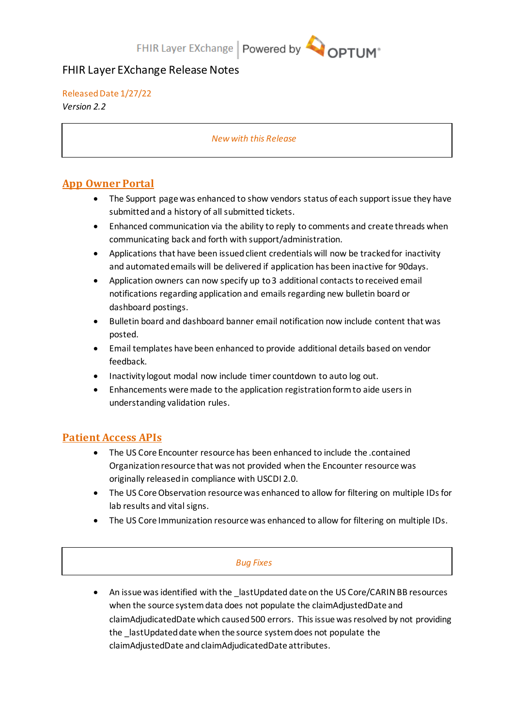# FHIR Layer EXchange Release Notes

### Released Date 1/27/22

*Version 2.2*

### *New with this Release*

# **App Owner Portal**

- The Support page was enhanced to show vendors status of each support issue they have submittedand a history of all submitted tickets.
- Enhanced communication via the ability to reply to comments and create threads when communicating back and forth with support/administration.
- Applications that have been issued client credentials will now be tracked for inactivity and automated emails will be delivered if application has been inactive for 90days.
- Application owners can now specify up to 3 additional contacts to received email notifications regarding application and emails regarding new bulletin board or dashboard postings.
- Bulletin board and dashboard banner email notification now include content that was posted.
- Email templates have been enhanced to provide additional details based on vendor feedback.
- Inactivity logout modal now include timer countdown to auto log out.
- Enhancements were made to the application registration form to aide users in understanding validation rules.

## **Patient Access APIs**

- The US Core Encounter resource has been enhanced to include the .contained Organization resource that was not provided when the Encounter resource was originally released in compliance with USCDI 2.0.
- The US Core Observation resource was enhanced to allow for filtering on multiple IDs for lab results and vital signs.
- The US Core Immunization resource was enhanced to allow for filtering on multiple IDs.

### *Bug Fixes*

• An issue was identified with the \_lastUpdated date on the US Core/CARIN BB resources when the source system data does not populate the claimAdjustedDate and claimAdjudicatedDate which caused 500 errors. This issue was resolved by not providing the \_lastUpdated date when the source system does not populate the claimAdjustedDate and claimAdjudicatedDate attributes.